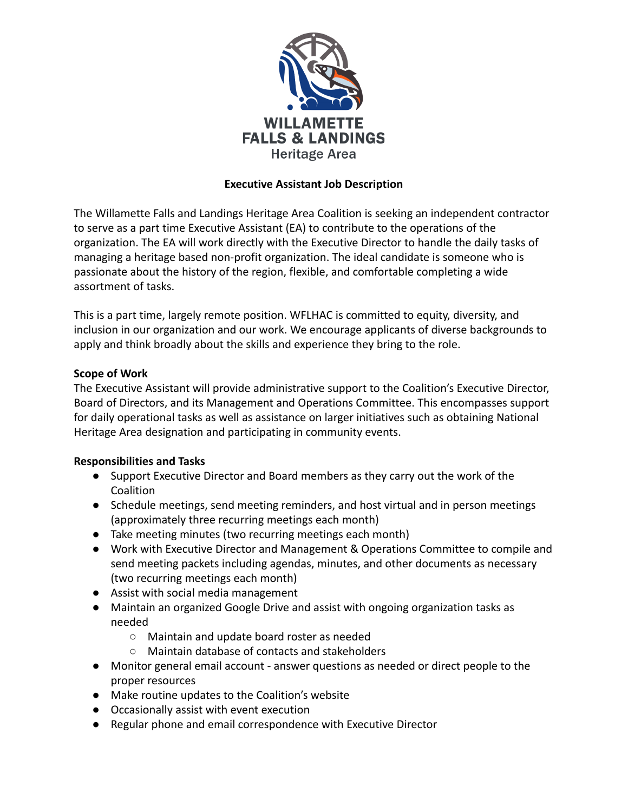

# **Executive Assistant Job Description**

The Willamette Falls and Landings Heritage Area Coalition is seeking an independent contractor to serve as a part time Executive Assistant (EA) to contribute to the operations of the organization. The EA will work directly with the Executive Director to handle the daily tasks of managing a heritage based non-profit organization. The ideal candidate is someone who is passionate about the history of the region, flexible, and comfortable completing a wide assortment of tasks.

This is a part time, largely remote position. WFLHAC is committed to equity, diversity, and inclusion in our organization and our work. We encourage applicants of diverse backgrounds to apply and think broadly about the skills and experience they bring to the role.

## **Scope of Work**

The Executive Assistant will provide administrative support to the Coalition's Executive Director, Board of Directors, and its Management and Operations Committee. This encompasses support for daily operational tasks as well as assistance on larger initiatives such as obtaining National Heritage Area designation and participating in community events.

## **Responsibilities and Tasks**

- Support Executive Director and Board members as they carry out the work of the Coalition
- Schedule meetings, send meeting reminders, and host virtual and in person meetings (approximately three recurring meetings each month)
- Take meeting minutes (two recurring meetings each month)
- Work with Executive Director and Management & Operations Committee to compile and send meeting packets including agendas, minutes, and other documents as necessary (two recurring meetings each month)
- Assist with social media management
- Maintain an organized Google Drive and assist with ongoing organization tasks as needed
	- Maintain and update board roster as needed
	- Maintain database of contacts and stakeholders
- Monitor general email account answer questions as needed or direct people to the proper resources
- Make routine updates to the Coalition's website
- Occasionally assist with event execution
- Regular phone and email correspondence with Executive Director